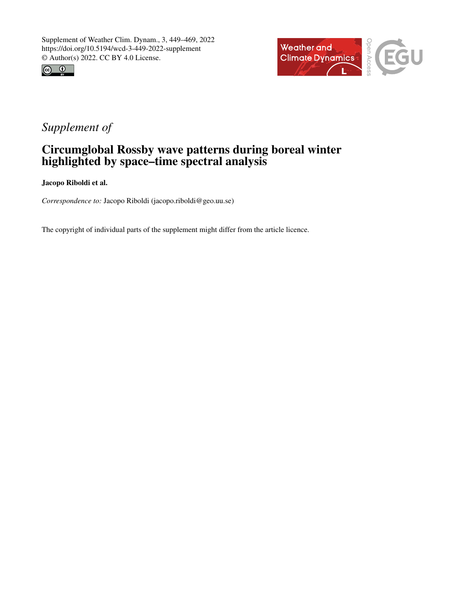



#### *Supplement of*

#### Circumglobal Rossby wave patterns during boreal winter highlighted by space–time spectral analysis

Jacopo Riboldi et al.

*Correspondence to:* Jacopo Riboldi (jacopo.riboldi@geo.uu.se)

The copyright of individual parts of the supplement might differ from the article licence.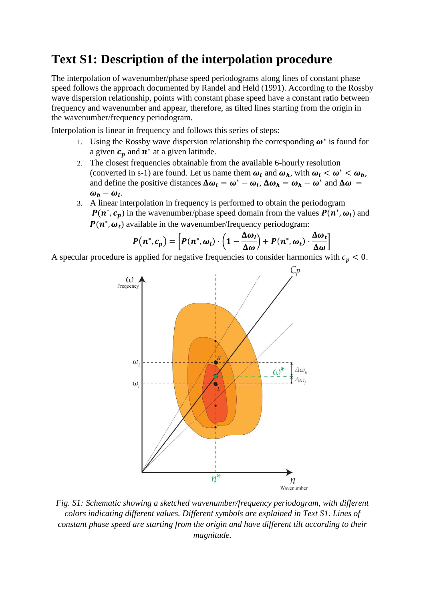## **Text S1: Description of the interpolation procedure**

The interpolation of wavenumber/phase speed periodograms along lines of constant phase speed follows the approach documented by Randel and Held (1991). According to the Rossby wave dispersion relationship, points with constant phase speed have a constant ratio between frequency and wavenumber and appear, therefore, as tilted lines starting from the origin in the wavenumber/frequency periodogram.

Interpolation is linear in frequency and follows this series of steps:

- 1. Using the Rossby wave dispersion relationship the corresponding  $\boldsymbol{\omega}^*$  is found for a given  $c_p$  and  $n^*$  at a given latitude.
- 2. The closest frequencies obtainable from the available 6-hourly resolution (converted in s-1) are found. Let us name them  $\omega_l$  and  $\omega_h$ , with  $\omega_l < \omega^* < \omega_h$ , and define the positive distances  $\Delta \omega_l = \omega^* - \omega_l$ ,  $\Delta \omega_h = \omega_h - \omega^*$  and  $\Delta \omega =$  $\omega_h - \omega_l$ .
- 3. A linear interpolation in frequency is performed to obtain the periodogram  $P(n^*, c_p)$  in the wavenumber/phase speed domain from the values  $P(n^*, \omega_l)$  and  $P(n^*, \omega_t)$  available in the wavenumber/frequency periodogram:

$$
P(n^*, c_p) = \left[ P(n^*, \omega_l) \cdot \left( 1 - \frac{\Delta \omega_l}{\Delta \omega} \right) + P(n^*, \omega_t) \cdot \frac{\Delta \omega_t}{\Delta \omega} \right]
$$

A specular procedure is applied for negative frequencies to consider harmonics with  $c_p < 0$ .



*Fig. S1: Schematic showing a sketched wavenumber/frequency periodogram, with different colors indicating different values. Different symbols are explained in Text S1. Lines of constant phase speed are starting from the origin and have different tilt according to their magnitude.*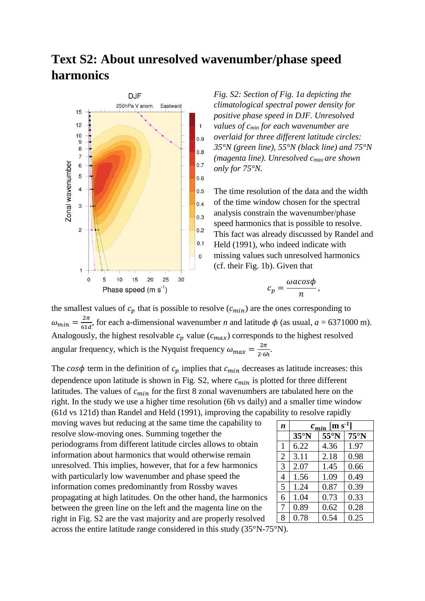## **Text S2: About unresolved wavenumber/phase speed harmonics**



*Fig. S2: Section of Fig. 1a depicting the climatological spectral power density for positive phase speed in DJF. Unresolved values of cmin for each wavenumber are overlaid for three different latitude circles: 35°N (green line), 55°N (black line) and 75°N (magenta line). Unresolved cmax are shown only for 75°N.* 

The time resolution of the data and the width of the time window chosen for the spectral analysis constrain the wavenumber/phase speed harmonics that is possible to resolve. This fact was already discussed by Randel and Held (1991), who indeed indicate with missing values such unresolved harmonics (cf. their Fig. 1b). Given that

$$
c_p = \frac{\omega a cos \phi}{n},
$$

the smallest values of  $c_p$  that is possible to resolve  $(c_{min})$  are the ones corresponding to  $\omega_{min} = \frac{2\pi}{61}$  $\frac{2h}{61d}$ , for each a-dimensional wavenumber *n* and latitude  $\phi$  (as usual,  $a = 6371000$  m). Analogously, the highest resolvable  $c_p$  value ( $c_{max}$ ) corresponds to the highest resolved angular frequency, which is the Nyquist frequency  $\omega_{max} = \frac{2\pi}{3.6}$  $\frac{2h}{2.6h}$ .

The  $\cos\phi$  term in the definition of  $c_p$  implies that  $c_{min}$  decreases as latitude increases: this dependence upon latitude is shown in Fig. S2, where  $c_{min}$  is plotted for three different latitudes. The values of  $c_{min}$  for the first 8 zonal wavenumbers are tabulated here on the right. In the study we use a higher time resolution (6h vs daily) and a smaller time window (61d vs 121d) than Randel and Held (1991), improving the capability to resolve rapidly

moving waves but reducing at the same time the capability to resolve slow-moving ones. Summing together the periodograms from different latitude circles allows to obtain information about harmonics that would otherwise remain unresolved. This implies, however, that for a few harmonics with particularly low wavenumber and phase speed the information comes predominantly from Rossby waves propagating at high latitudes. On the other hand, the harmonics between the green line on the left and the magenta line on the right in Fig. S2 are the vast majority and are properly resolved across the entire latitude range considered in this study (35°N-75°N).

| $\boldsymbol{n}$ | $c_{min}$ [m s <sup>-1</sup> ] |                |                |
|------------------|--------------------------------|----------------|----------------|
|                  | $35^\circ N$                   | $55^{\circ}$ N | $75^{\circ}$ N |
| $\mathbf{1}$     | 6.22                           | 4.36           | 1.97           |
| $\overline{2}$   | 3.11                           | 2.18           | 0.98           |
| 3                | 2.07                           | 1.45           | 0.66           |
| 4                | 1.56                           | 1.09           | 0.49           |
| 5                | 1.24                           | 0.87           | 0.39           |
| 6                | 1.04                           | 0.73           | 0.33           |
| 7                | 0.89                           | 0.62           | 0.28           |
| 8                | 0.78                           | 0.54           | 0.25           |
|                  |                                |                |                |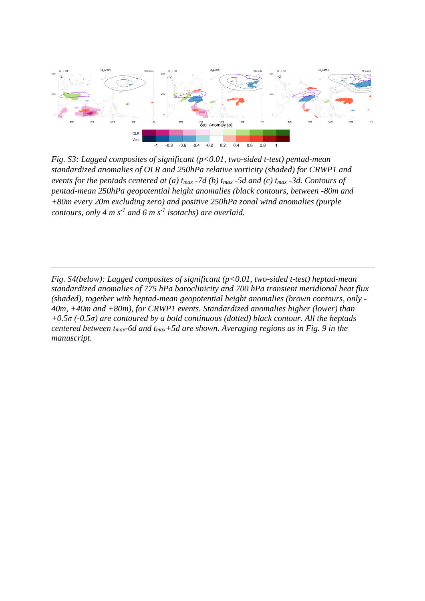

*Fig. S3: Lagged composites of significant (p<0.01, two-sided t-test) pentad-mean standardized anomalies of OLR and 250hPa relative vorticity (shaded) for CRWP1 and events for the pentads centered at (a) tmax -7d (b) tmax -5d and (c) tmax -3d. Contours of pentad-mean 250hPa geopotential height anomalies (black contours, between -80m and +80m every 20m excluding zero) and positive 250hPa zonal wind anomalies (purple contours, only 4 m s-1 and 6 m s-1 isotachs) are overlaid.*

*Fig. S4(below): Lagged composites of significant (p<0.01, two-sided t-test) heptad-mean standardized anomalies of 775 hPa baroclinicity and 700 hPa transient meridional heat flux (shaded), together with heptad-mean geopotential height anomalies (brown contours, only - 40m, +40m and +80m), for CRWP1 events. Standardized anomalies higher (lower) than +0.5σ (-0.5σ) are contoured by a bold continuous (dotted) black contour. All the heptads centered between tmax-6d and tmax+5d are shown. Averaging regions as in Fig. 9 in the manuscript.*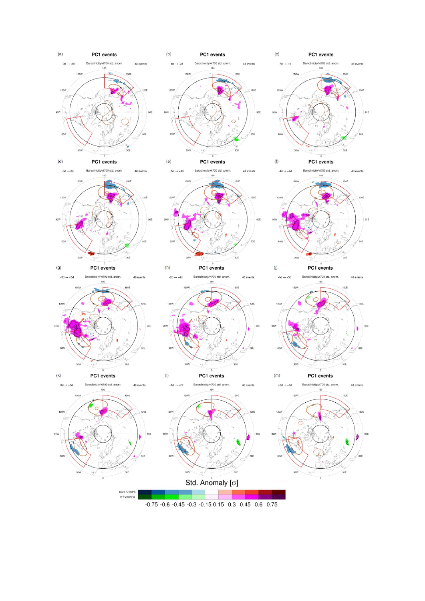

 $-0.75 -0.6 -0.45 -0.3 -0.15 -0.15 -0.3 -0.45 -0.6 -0.75$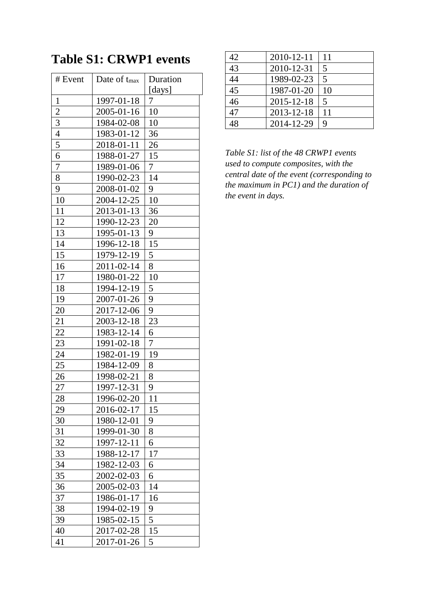# **Table S1: CRWP1 events**

| # Event        | Date of t <sub>max</sub> | Duration |
|----------------|--------------------------|----------|
|                |                          | [days]   |
| $\mathbf{1}$   | 1997-01-18               | 7        |
| $\overline{2}$ | 2005-01-16               | 10       |
| 3              | 1984-02-08               | 10       |
| $\overline{4}$ | 1983-01-12               | 36       |
| 5              | 2018-01-11               | 26       |
| 6              | 1988-01-27               | 15       |
| 7              | 1989-01-06               | 7        |
| 8              | 1990-02-23               | 14       |
| 9              | 2008-01-02               | 9        |
| 10             | 2004-12-25               | 10       |
| 11             | 2013-01-13               | 36       |
| 12             | 1990-12-23               | 20       |
| 13             | 1995-01-13               | 9        |
| 14             | 1996-12-18               | 15       |
| 15             | 1979-12-19               | 5        |
| 16             | 2011-02-14               | 8        |
| 17             | 1980-01-22               | 10       |
| 18             | 1994-12-19               | 5        |
| 19             | 2007-01-26               | 9        |
| 20             | 2017-12-06               | 9        |
| 21             | 2003-12-18               | 23       |
| 22             | 1983-12-14               | 6        |
| 23             | 1991-02-18               | 7        |
| 24             | 1982-01-19               | 19       |
| 25             | 1984-12-09               | 8        |
| 26             | 1998-02-21               | 8        |
| 27             | 1997-12-31               | 9        |
| 28             | 1996-02-20               | 11       |
| 29             | 2016-02-17               | 15       |
| 30             | 1980-12-01               | 9        |
| 31             | 1999-01-30               | 8        |
| 32             | 1997-12-11               | 6        |
| 33             | 1988-12-17               | 17       |
| 34             | 1982-12-03               | 6        |
| 35             | 2002-02-03               | 6        |
| 36             | 2005-02-03               | 14       |
| 37             | 1986-01-17               | 16       |
| 38             | 1994-02-19               | 9        |
| 39             | 1985-02-15               | 5        |
| 40             | 2017-02-28               | 15       |
| 41             | 2017-01-26               | 5        |
|                |                          |          |

| 42 | 2010-12-11 | 11 |
|----|------------|----|
| 43 | 2010-12-31 | 5  |
| 44 | 1989-02-23 | 5  |
| 45 | 1987-01-20 | 10 |
| 46 | 2015-12-18 | 5  |
| 47 | 2013-12-18 | 11 |
|    | 2014-12-29 | 9  |

*Table S1: list of the 48 CRWP1 events used to compute composites, with the central date of the event (corresponding to the maximum in PC1) and the duration of the event in days.*